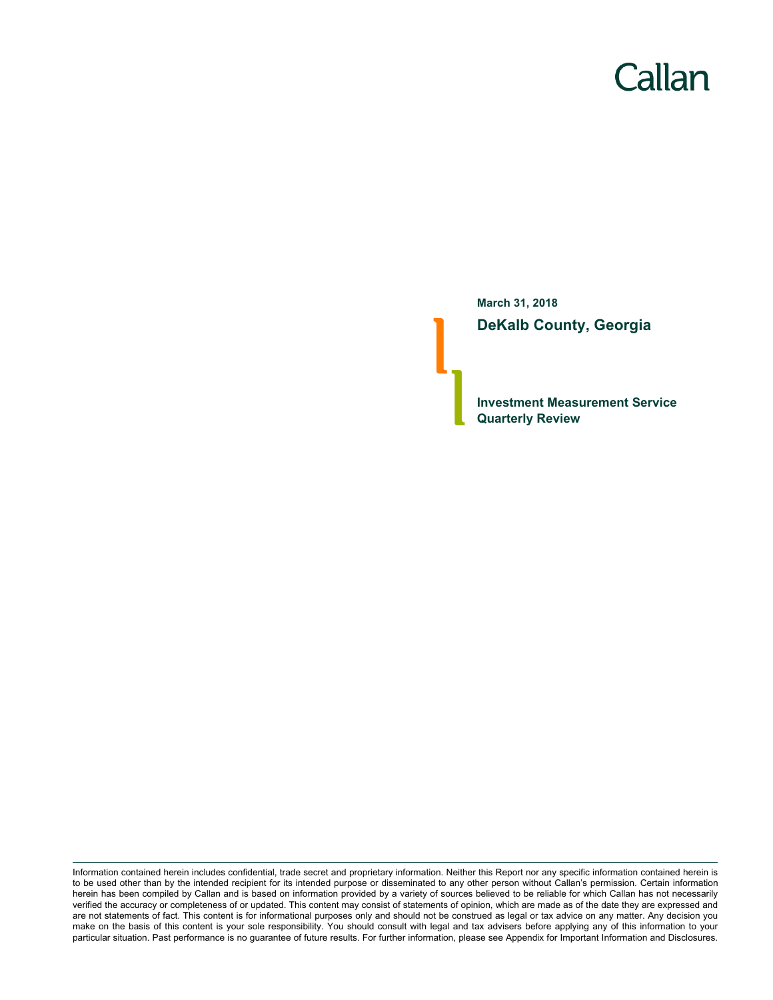# Callan

**March 31, 2018 DeKalb County, Georgia**

**Investment Measurement Service Quarterly Review**

Information contained herein includes confidential, trade secret and proprietary information. Neither this Report nor any specific information contained herein is to be used other than by the intended recipient for its intended purpose or disseminated to any other person without Callan's permission. Certain information herein has been compiled by Callan and is based on information provided by a variety of sources believed to be reliable for which Callan has not necessarily verified the accuracy or completeness of or updated. This content may consist of statements of opinion, which are made as of the date they are expressed and are not statements of fact. This content is for informational purposes only and should not be construed as legal or tax advice on any matter. Any decision you make on the basis of this content is your sole responsibility. You should consult with legal and tax advisers before applying any of this information to your particular situation. Past performance is no guarantee of future results. For further information, please see Appendix for Important Information and Disclosures.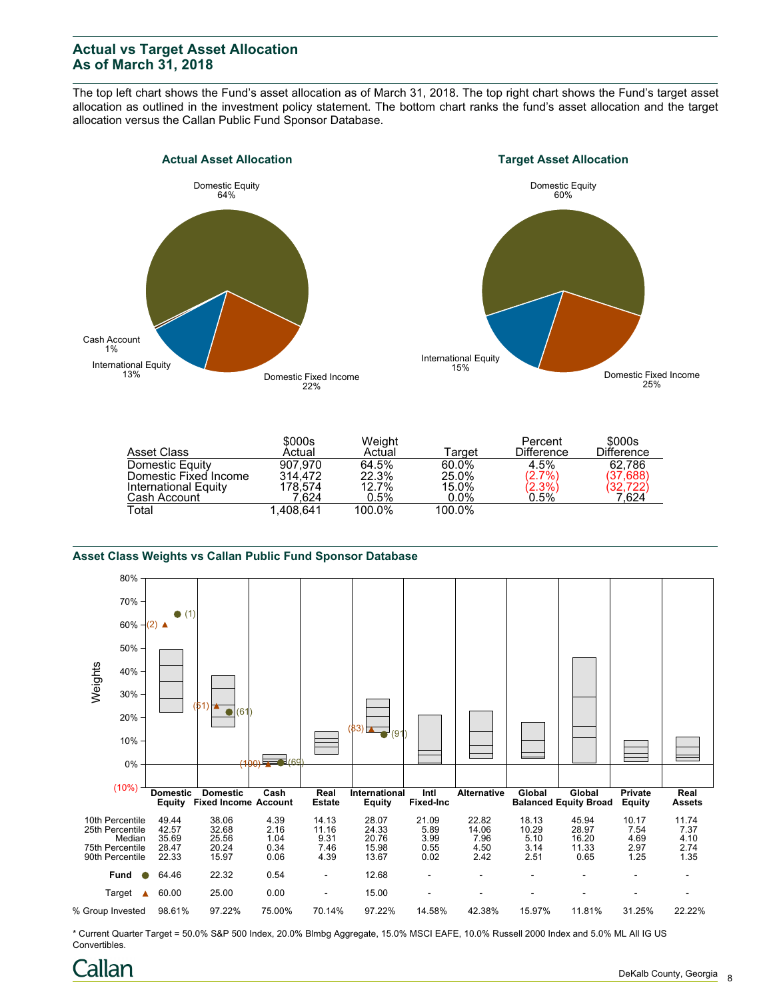## **Actual vs Target Asset Allocation As of March 31, 2018**

The top left chart shows the Fund's asset allocation as of March 31, 2018. The top right chart shows the Fund's target asset allocation as outlined in the investment policy statement. The bottom chart ranks the fund's asset allocation and the target allocation versus the Callan Public Fund Sponsor Database.





|                       | \$000s    | Weight  |         | Percent           | \$000s            |
|-----------------------|-----------|---------|---------|-------------------|-------------------|
| Asset Class           | Actual    | Actual  | ™arqet  | <b>Difference</b> | <b>Difference</b> |
| Domestic Equity       | 907.970   | 64.5%   | 60.0%   | 4.5%              | 62.786            |
| Domestic Fixed Income | 314.472   | 22.3%   | 25.0%   | $(2.7\%)$         | (37,688)          |
| International Equity  | 178.574   | 12.7%   | 15.0%   | $(2.3\%)$         | (32,722)          |
| Cash Account          | 1.624     | $0.5\%$ | $0.0\%$ | 0.5%              | 7,624             |
| Total                 | 1.408.641 | 100.0%  | 100.0%  |                   |                   |

#### **Asset Class Weights vs Callan Public Fund Sponsor Database**



\* Current Quarter Target = 50.0% S&P 500 Index, 20.0% Blmbg Aggregate, 15.0% MSCI EAFE, 10.0% Russell 2000 Index and 5.0% ML All IG US Convertibles.

# `allan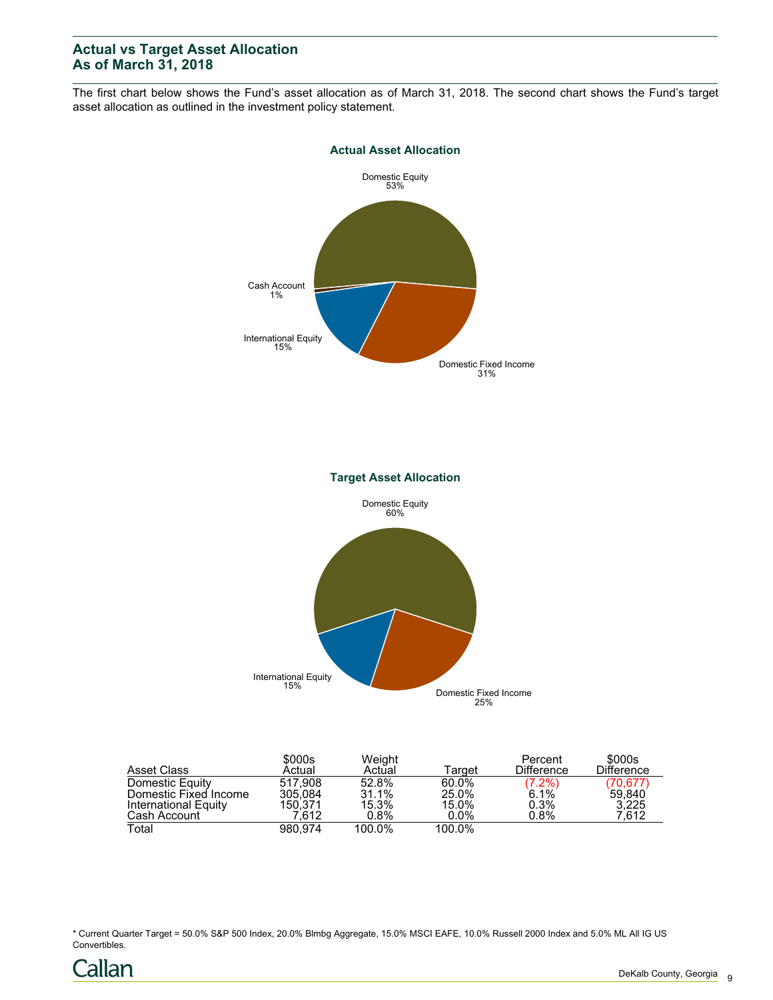# **Actual vs Target Asset Allocation As of March 31, 2018**

The first chart below shows the Fund's asset allocation as of March 31, 2018. The second chart shows the Fund's target asset allocation as outlined in the investment policy statement.



Domestic Fixed Income 25%

| Asset Class           | \$000s<br>Actual | Weight<br>Actual | Target  | Percent<br><b>Difference</b> | \$000s<br>Difference |
|-----------------------|------------------|------------------|---------|------------------------------|----------------------|
| Domestic Equity       | 517.908          | 52.8%            | 60.0%   |                              | (70,677)             |
| Domestic Fixed Income | 305.084          | 31.1%            | 25.0%   | $(7.2%)$<br>6.1%             | 59,840               |
| International Equity  | 150.371          | 15.3%            | 15.0%   | 0.3%                         | 3.225                |
| Cash Account          | 7.612            | 0.8%             | $0.0\%$ | 0.8%                         | 7.612                |
| Total                 | 980.974          | 100.0%           | 100.0%  |                              |                      |

\* Current Quarter Target = 50.0% S&P 500 Index, 20.0% Blmbg Aggregate, 15.0% MSCI EAFE, 10.0% Russell 2000 Index and 5.0% ML All IG US Convertibles.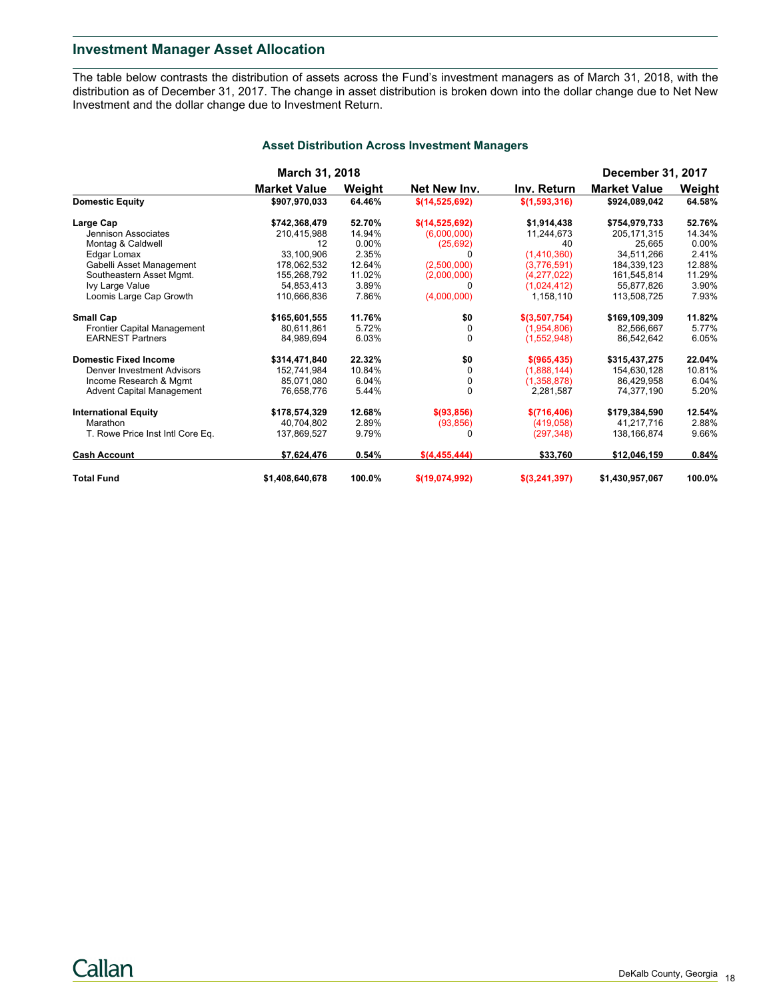### **Investment Manager Asset Allocation**

The table below contrasts the distribution of assets across the Fund's investment managers as of March 31, 2018, with the distribution as of December 31, 2017. The change in asset distribution is broken down into the dollar change due to Net New Investment and the dollar change due to Investment Return.

|                                  | <b>March 31, 2018</b> |        |                |               | <b>December 31, 2017</b> |          |  |
|----------------------------------|-----------------------|--------|----------------|---------------|--------------------------|----------|--|
|                                  | <b>Market Value</b>   | Weight | Net New Inv.   | Inv. Return   | <b>Market Value</b>      | Weight   |  |
| <b>Domestic Equity</b>           | \$907,970,033         | 64.46% | \$(14,525,692) | \$(1,593,316) | \$924,089,042            | 64.58%   |  |
| Large Cap                        | \$742,368,479         | 52.70% | \$(14,525,692) | \$1.914.438   | \$754.979.733            | 52.76%   |  |
| Jennison Associates              | 210,415,988           | 14.94% | (6,000,000)    | 11,244,673    | 205.171.315              | 14.34%   |  |
| Montag & Caldwell                | 12                    | 0.00%  | (25,692)       | 40            | 25.665                   | $0.00\%$ |  |
| Edgar Lomax                      | 33.100.906            | 2.35%  |                | (1,410,360)   | 34.511.266               | 2.41%    |  |
| Gabelli Asset Management         | 178,062,532           | 12.64% | (2,500,000)    | (3,776,591)   | 184,339,123              | 12.88%   |  |
| Southeastern Asset Mgmt.         | 155,268,792           | 11.02% | (2,000,000)    | (4,277,022)   | 161,545,814              | 11.29%   |  |
| Ivy Large Value                  | 54,853,413            | 3.89%  | $\Omega$       | (1,024,412)   | 55,877,826               | 3.90%    |  |
| Loomis Large Cap Growth          | 110,666,836           | 7.86%  | (4,000,000)    | 1,158,110     | 113,508,725              | 7.93%    |  |
| <b>Small Cap</b>                 | \$165,601,555         | 11.76% | \$0            | \$(3,507,754) | \$169,109,309            | 11.82%   |  |
| Frontier Capital Management      | 80.611.861            | 5.72%  | 0              | (1.954.806)   | 82.566.667               | 5.77%    |  |
| <b>EARNEST Partners</b>          | 84.989.694            | 6.03%  | $\Omega$       | (1,552,948)   | 86,542,642               | 6.05%    |  |
| <b>Domestic Fixed Income</b>     | \$314,471,840         | 22.32% | \$0            | \$(965, 435)  | \$315,437,275            | 22.04%   |  |
| Denver Investment Advisors       | 152.741.984           | 10.84% | $\Omega$       | (1,888,144)   | 154,630,128              | 10.81%   |  |
| Income Research & Mgmt           | 85,071,080            | 6.04%  | 0              | (1,358,878)   | 86,429,958               | 6.04%    |  |
| <b>Advent Capital Management</b> | 76,658,776            | 5.44%  | $\Omega$       | 2,281,587     | 74,377,190               | 5.20%    |  |
| <b>International Equity</b>      | \$178,574,329         | 12.68% | \$ (93, 856)   | \$(716,406)   | \$179,384,590            | 12.54%   |  |
| Marathon                         | 40.704.802            | 2.89%  | (93, 856)      | (419,058)     | 41,217,716               | 2.88%    |  |
| T. Rowe Price Inst Intl Core Eq. | 137,869,527           | 9.79%  | 0              | (297, 348)    | 138,166,874              | 9.66%    |  |
| <b>Cash Account</b>              | \$7,624,476           | 0.54%  | \$(4,455,444)  | \$33,760      | \$12,046,159             | 0.84%    |  |
| <b>Total Fund</b>                | \$1,408,640,678       | 100.0% | \$(19,074,992) | \$(3,241,397) | \$1,430,957,067          | 100.0%   |  |

#### **Asset Distribution Across Investment Managers**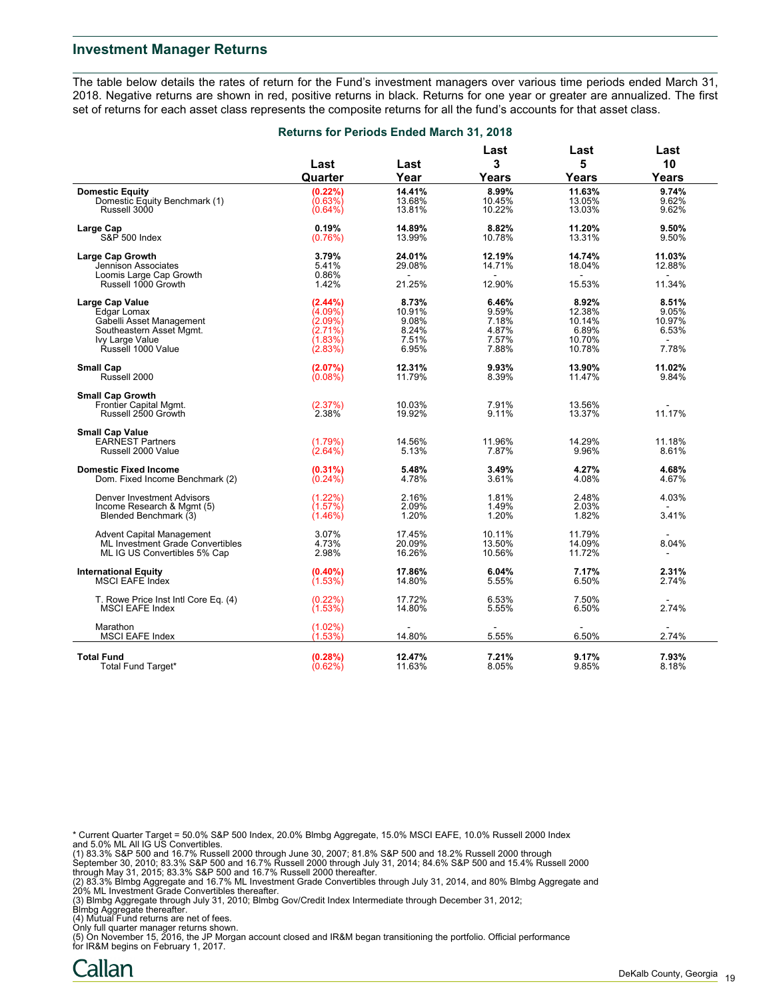#### **Investment Manager Returns**

The table below details the rates of return for the Fund's investment managers over various time periods ended March 31, 2018. Negative returns are shown in red, positive returns in black. Returns for one year or greater are annualized. The first set of returns for each asset class represents the composite returns for all the fund's accounts for that asset class.

| <b>Returns for Periods Ended March 31, 2018</b> |  |  |  |  |  |  |
|-------------------------------------------------|--|--|--|--|--|--|
|-------------------------------------------------|--|--|--|--|--|--|

|                                                                 |                    |                  | Last           | Last                     | Last           |
|-----------------------------------------------------------------|--------------------|------------------|----------------|--------------------------|----------------|
|                                                                 | Last               | Last             | 3              | 5                        | 10             |
|                                                                 | Quarter            | Year             | Years          | Years                    | Years          |
| <b>Domestic Equity</b>                                          | (0.22%)            | 14.41%           | 8.99%          | 11.63%                   | 9.74%          |
| Domestic Equity Benchmark (1)                                   | $(0.63\%)$         | 13.68%           | 10.45%         | 13.05%                   | 9.62%          |
| Russell 3000                                                    | $(0.64\%)$         | 13.81%           | 10.22%         | 13.03%                   | 9.62%          |
| Large Cap                                                       | 0.19%              | 14.89%           | 8.82%          | 11.20%                   | 9.50%          |
| S&P 500 Index                                                   | (0.76%)            | 13.99%           | 10.78%         | 13.31%                   | 9.50%          |
| <b>Large Cap Growth</b>                                         | 3.79%              | 24.01%           | 12.19%         | 14.74%                   | 11.03%         |
| Jennison Associates                                             | 5.41%              | 29.08%           | 14.71%         | 18.04%                   | 12.88%         |
| Loomis Large Cap Growth                                         | 0.86%              |                  |                |                          |                |
| Russell 1000 Growth                                             | 1.42%              | 21.25%           | 12.90%         | 15.53%                   | 11.34%         |
| <b>Large Cap Value</b>                                          | $(2.44\%)$         | 8.73%            | 6.46%          | 8.92%                    | 8.51%          |
| Edgar Lomax                                                     | $(4.09\%)$         | 10.91%           | 9.59%          | 12.38%                   | 9.05%          |
| Gabelli Asset Management                                        | (2.09%)            | 9.08%            | 7.18%          | 10.14%                   | 10.97%         |
| Southeastern Asset Mgmt.                                        | (2.71%)            | 8.24%            | 4.87%          | 6.89%                    | 6.53%          |
| Ivy Large Value                                                 | (1.83%)            | 7.51%            | 7.57%          | 10.70%                   |                |
| Řussell 1000 Value                                              | (2.83%)            | 6.95%            | 7.88%          | 10.78%                   | 7.78%          |
| <b>Small Cap</b>                                                | (2.07%)            | 12.31%           | 9.93%          | 13.90%                   | 11.02%         |
| Russell 2000                                                    | (0.08%)            | 11.79%           | 8.39%          | 11.47%                   | 9.84%          |
| <b>Small Cap Growth</b>                                         |                    |                  |                |                          |                |
| Frontier Capital Mgmt.                                          | (2.37%)            | 10.03%           | 7.91%          | 13.56%                   |                |
| Russell 2500 Growth                                             | 2.38%              | 19.92%           | 9.11%          | 13.37%                   | 11.17%         |
| <b>Small Cap Value</b>                                          |                    |                  |                |                          |                |
| <b>EARNEST Partners</b>                                         | (1.79%)            | 14.56%           | 11.96%         | 14.29%                   | 11.18%         |
| Russell 2000 Value                                              | (2.64%)            | 5.13%            | 7.87%          | 9.96%                    | 8.61%          |
| <b>Domestic Fixed Income</b>                                    | $(0.31\%)$         | 5.48%            | 3.49%          | 4.27%                    | 4.68%          |
| Dom. Fixed Income Benchmark (2)                                 | $(0.24\%)$         | 4.78%            | 3.61%          | 4.08%                    | 4.67%          |
|                                                                 |                    | 2.16%            | 1.81%          | 2.48%                    | 4.03%          |
| <b>Denver Investment Advisors</b><br>Income Research & Mgmt (5) | (1.22%)<br>(1.57%) | 2.09%            | 1.49%          | 2.03%                    |                |
| Blended Benchmark (3)                                           | (1.46%)            | 1.20%            | 1.20%          | 1.82%                    | 3.41%          |
|                                                                 |                    |                  |                |                          |                |
| <b>Advent Capital Management</b>                                | 3.07%              | 17.45%           | 10.11%         | 11.79%                   |                |
| ML Investment Grade Convertibles                                | 4.73%              | 20.09%           | 13.50%         | 14.09%                   | 8.04%          |
| ML IG US Convertibles 5% Cap                                    | 2.98%              | 16.26%           | 10.56%         | 11.72%                   | $\sim$         |
| <b>International Equity</b>                                     | $(0.40\%)$         | 17.86%           | 6.04%          | 7.17%                    | 2.31%          |
| <b>MSCI EAFE Index</b>                                          | (1.53%)            | 14.80%           | 5.55%          | 6.50%                    | 2.74%          |
| T. Rowe Price Inst Intl Core Eq. (4)                            | $(0.22\%)$         | 17.72%           | 6.53%          | 7.50%                    | $\sim$         |
| <b>MSCI EAFE Index</b>                                          | $(1.53\%)$         | 14.80%           | 5.55%          | 6.50%                    | 2.74%          |
| Marathon                                                        | $(1.02\%)$         | $\blacksquare$   | $\blacksquare$ | $\overline{\phantom{a}}$ | $\sim$         |
| <b>MSCI EAFE Index</b>                                          | (1.53%)            | 14.80%           | 5.55%          | 6.50%                    | 2.74%          |
|                                                                 |                    |                  |                |                          |                |
| <b>Total Fund</b><br>Total Fund Target*                         | (0.28%)<br>(0.62%) | 12.47%<br>11.63% | 7.21%<br>8.05% | 9.17%<br>9.85%           | 7.93%<br>8.18% |
|                                                                 |                    |                  |                |                          |                |

\* Current Quarter Target = 50.0% S&P 500 Index, 20.0% Blmbg Aggregate, 15.0% MSCI EAFE, 10.0% Russell 2000 Index and 5.0% ML All IG US Convertibles.

(1) 83.3% S&P 500 and 16.7% Russell 2000 through June 30, 2007; 81.8% S&P 500 and 18.2% Russell 2000 through<br>September 30, 2010; 83.3% S&P 500 and 16.7% Russell 2000 through July 31, 2014; 84.6% S&P 500 and 15.4% Russell 2

(3) Blmbg Aggregate through July 31, 2010; Blmbg Gov/Credit Index Intermediate through December 31, 2012;

Blmbg Aggregate thereafter.

(4) Mutual Fund returns are net of fees. Only full quarter manager returns shown. (5) On November 15, 2016, the JP Morgan account closed and IR&M began transitioning the portfolio. Official performance for IR&M begins on February 1, 2017.

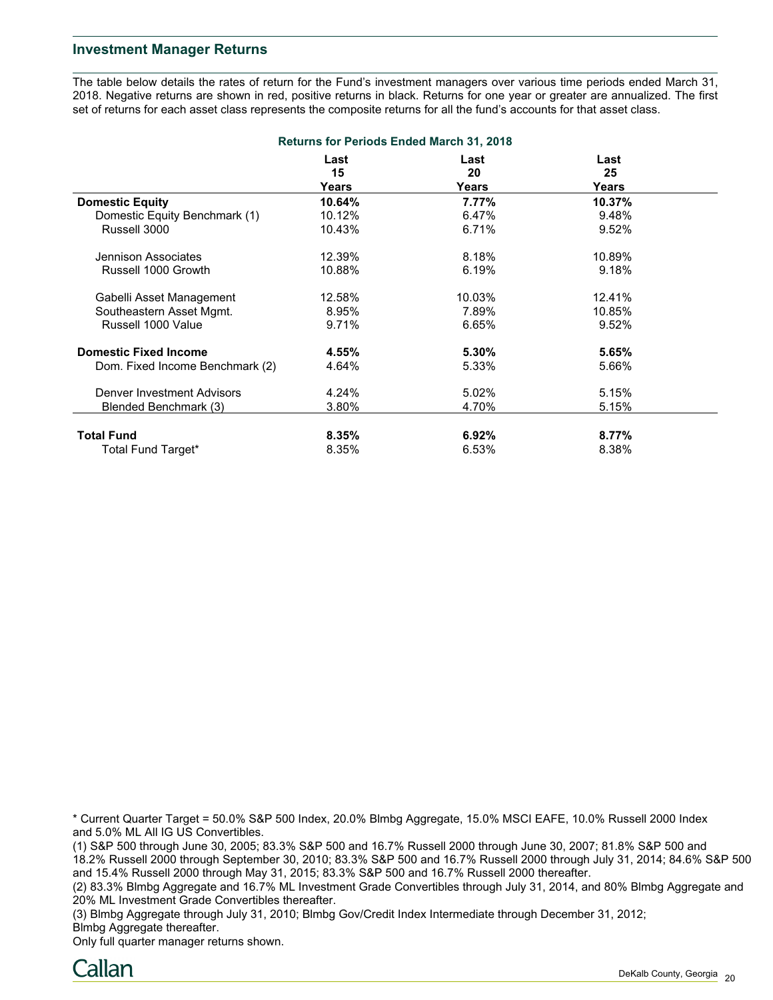#### **Investment Manager Returns**

The table below details the rates of return for the Fund's investment managers over various time periods ended March 31, 2018. Negative returns are shown in red, positive returns in black. Returns for one year or greater are annualized. The first set of returns for each asset class represents the composite returns for all the fund's accounts for that asset class.

| <b>Returns for Periods Ended March 31, 2018</b> |            |            |            |  |
|-------------------------------------------------|------------|------------|------------|--|
|                                                 | Last<br>15 | Last<br>20 | Last<br>25 |  |
|                                                 | Years      | Years      | Years      |  |
| <b>Domestic Equity</b>                          | 10.64%     | 7.77%      | 10.37%     |  |
| Domestic Equity Benchmark (1)                   | 10.12%     | 6.47%      | 9.48%      |  |
| Russell 3000                                    | 10.43%     | 6.71%      | 9.52%      |  |
| Jennison Associates                             | 12.39%     | 8.18%      | 10.89%     |  |
| Russell 1000 Growth                             | 10.88%     | 6.19%      | 9.18%      |  |
| Gabelli Asset Management                        | 12.58%     | 10.03%     | 12.41%     |  |
| Southeastern Asset Mgmt.                        | 8.95%      | 7.89%      | 10.85%     |  |
| Russell 1000 Value                              | 9.71%      | 6.65%      | 9.52%      |  |
| <b>Domestic Fixed Income</b>                    | 4.55%      | $5.30\%$   | 5.65%      |  |
| Dom. Fixed Income Benchmark (2)                 | 4.64%      | 5.33%      | 5.66%      |  |
| Denver Investment Advisors                      | 4.24%      | 5.02%      | 5.15%      |  |
| Blended Benchmark (3)                           | 3.80%      | 4.70%      | 5.15%      |  |
| <b>Total Fund</b>                               | 8.35%      | 6.92%      | 8.77%      |  |
| Total Fund Target*                              | 8.35%      | 6.53%      | 8.38%      |  |

\* Current Quarter Target = 50.0% S&P 500 Index, 20.0% Blmbg Aggregate, 15.0% MSCI EAFE, 10.0% Russell 2000 Index and 5.0% ML All IG US Convertibles.

(1) S&P 500 through June 30, 2005; 83.3% S&P 500 and 16.7% Russell 2000 through June 30, 2007; 81.8% S&P 500 and 18.2% Russell 2000 through September 30, 2010; 83.3% S&P 500 and 16.7% Russell 2000 through July 31, 2014; 84.6% S&P 500 and 15.4% Russell 2000 through May 31, 2015; 83.3% S&P 500 and 16.7% Russell 2000 thereafter.

(2) 83.3% Blmbg Aggregate and 16.7% ML Investment Grade Convertibles through July 31, 2014, and 80% Blmbg Aggregate and 20% ML Investment Grade Convertibles thereafter.

(3) Blmbg Aggregate through July 31, 2010; Blmbg Gov/Credit Index Intermediate through December 31, 2012; Blmbg Aggregate thereafter.

Only full quarter manager returns shown.